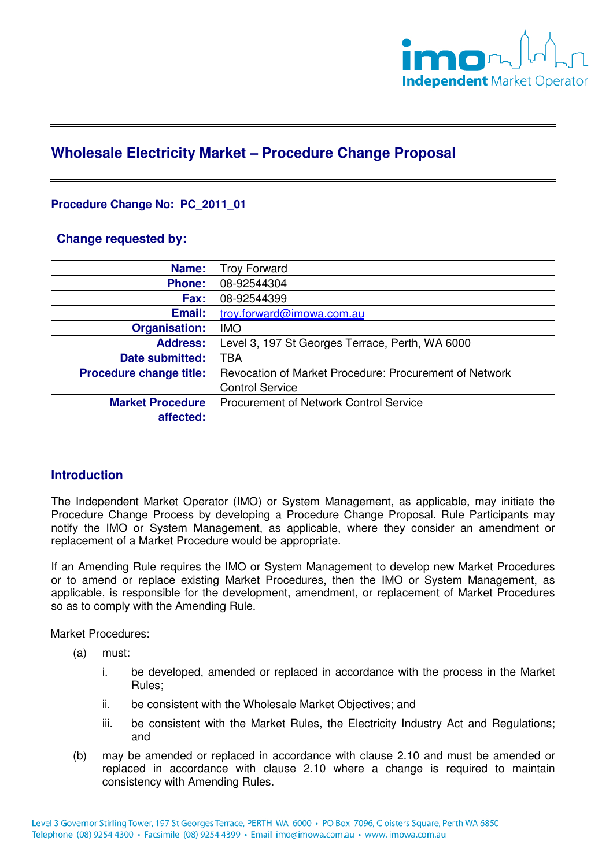

# **Wholesale Electricity Market – Procedure Change Proposal**

# **Procedure Change No: PC\_2011\_01**

## **Change requested by:**

| Name:                          | <b>Troy Forward</b>                                    |
|--------------------------------|--------------------------------------------------------|
| <b>Phone:</b>                  | 08-92544304                                            |
| Fax:                           | 08-92544399                                            |
| Email:                         | troy.forward@imowa.com.au                              |
| <b>Organisation:</b>           | <b>IMO</b>                                             |
| <b>Address:</b>                | Level 3, 197 St Georges Terrace, Perth, WA 6000        |
| Date submitted:                | TBA                                                    |
| <b>Procedure change title:</b> | Revocation of Market Procedure: Procurement of Network |
|                                | <b>Control Service</b>                                 |
| <b>Market Procedure</b>        | Procurement of Network Control Service                 |
| affected:                      |                                                        |

# **Introduction**

The Independent Market Operator (IMO) or System Management, as applicable, may initiate the Procedure Change Process by developing a Procedure Change Proposal. Rule Participants may notify the IMO or System Management, as applicable, where they consider an amendment or replacement of a Market Procedure would be appropriate.

If an Amending Rule requires the IMO or System Management to develop new Market Procedures or to amend or replace existing Market Procedures, then the IMO or System Management, as applicable, is responsible for the development, amendment, or replacement of Market Procedures so as to comply with the Amending Rule.

Market Procedures:

- (a) must:
	- i. be developed, amended or replaced in accordance with the process in the Market Rules;
	- ii. be consistent with the Wholesale Market Objectives; and
	- iii. be consistent with the Market Rules, the Electricity Industry Act and Regulations; and
- (b) may be amended or replaced in accordance with clause 2.10 and must be amended or replaced in accordance with clause 2.10 where a change is required to maintain consistency with Amending Rules.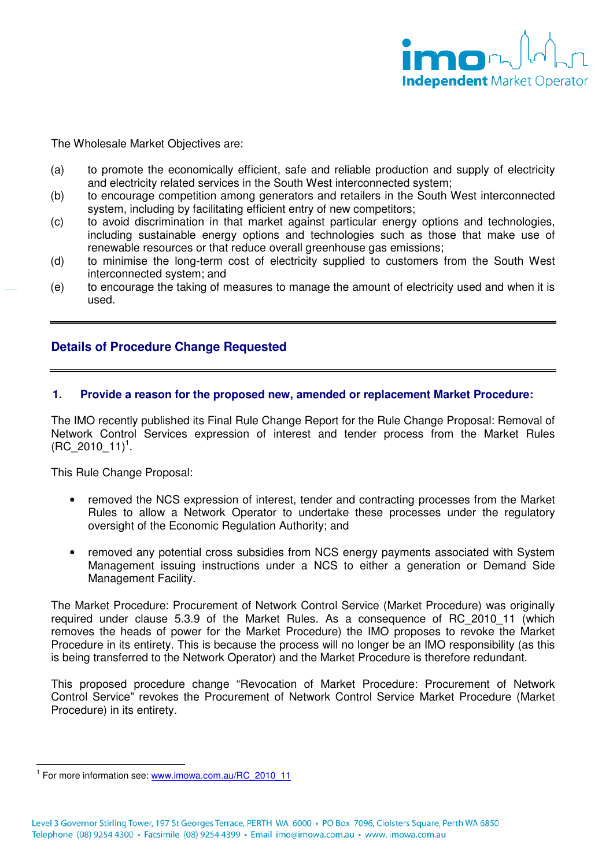

The Wholesale Market Objectives are:

- (a) to promote the economically efficient, safe and reliable production and supply of electricity and electricity related services in the South West interconnected system;
- (b) to encourage competition among generators and retailers in the South West interconnected system, including by facilitating efficient entry of new competitors;
- (c) to avoid discrimination in that market against particular energy options and technologies, including sustainable energy options and technologies such as those that make use of renewable resources or that reduce overall greenhouse gas emissions;
- (d) to minimise the long-term cost of electricity supplied to customers from the South West interconnected system; and
- (e) to encourage the taking of measures to manage the amount of electricity used and when it is used.

## **Details of Procedure Change Requested**

#### **1. Provide a reason for the proposed new, amended or replacement Market Procedure:**

The IMO recently published its Final Rule Change Report for the Rule Change Proposal: Removal of Network Control Services expression of interest and tender process from the Market Rules  $(RC\_2010\_11)^1$ .

This Rule Change Proposal:

- removed the NCS expression of interest, tender and contracting processes from the Market Rules to allow a Network Operator to undertake these processes under the regulatory oversight of the Economic Regulation Authority; and
- removed any potential cross subsidies from NCS energy payments associated with System Management issuing instructions under a NCS to either a generation or Demand Side Management Facility.

The Market Procedure: Procurement of Network Control Service (Market Procedure) was originally required under clause 5.3.9 of the Market Rules. As a consequence of RC\_2010\_11 (which removes the heads of power for the Market Procedure) the IMO proposes to revoke the Market Procedure in its entirety. This is because the process will no longer be an IMO responsibility (as this is being transferred to the Network Operator) and the Market Procedure is therefore redundant.

This proposed procedure change "Revocation of Market Procedure: Procurement of Network Control Service" revokes the Procurement of Network Control Service Market Procedure (Market Procedure) in its entirety.

 $\overline{a}$ 

<sup>&</sup>lt;sup>1</sup> For more information see: www.imowa.com.au/RC\_2010\_11